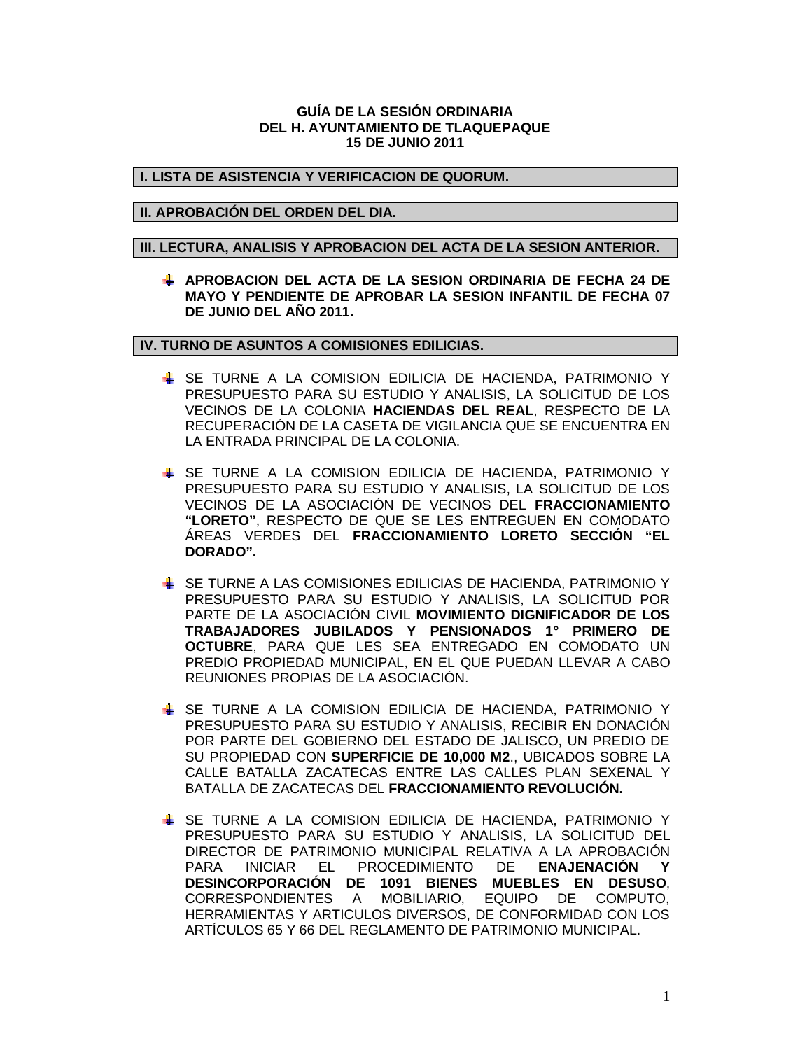## **GUÍA DE LA SESIÓN ORDINARIA DEL H. AYUNTAMIENTO DE TLAQUEPAQUE 15 DE JUNIO 2011**

# **I. LISTA DE ASISTENCIA Y VERIFICACION DE QUORUM.**

## **II. APROBACIÓN DEL ORDEN DEL DIA.**

#### **III. LECTURA, ANALISIS Y APROBACION DEL ACTA DE LA SESION ANTERIOR.**

**APROBACION DEL ACTA DE LA SESION ORDINARIA DE FECHA 24 DE MAYO Y PENDIENTE DE APROBAR LA SESION INFANTIL DE FECHA 07 DE JUNIO DEL AÑO 2011.**

# **IV. TURNO DE ASUNTOS A COMISIONES EDILICIAS.**

- SE TURNE A LA COMISION EDILICIA DE HACIENDA, PATRIMONIO Y PRESUPUESTO PARA SU ESTUDIO Y ANALISIS, LA SOLICITUD DE LOS VECINOS DE LA COLONIA **HACIENDAS DEL REAL**, RESPECTO DE LA RECUPERACIÓN DE LA CASETA DE VIGILANCIA QUE SE ENCUENTRA EN LA ENTRADA PRINCIPAL DE LA COLONIA.
- SE TURNE A LA COMISION EDILICIA DE HACIENDA, PATRIMONIO Y PRESUPUESTO PARA SU ESTUDIO Y ANALISIS, LA SOLICITUD DE LOS VECINOS DE LA ASOCIACIÓN DE VECINOS DEL **FRACCIONAMIENTO "LORETO"**, RESPECTO DE QUE SE LES ENTREGUEN EN COMODATO ÁREAS VERDES DEL **FRACCIONAMIENTO LORETO SECCIÓN "EL DORADO".**
- SE TURNE A LAS COMISIONES EDILICIAS DE HACIENDA, PATRIMONIO Y PRESUPUESTO PARA SU ESTUDIO Y ANALISIS, LA SOLICITUD POR PARTE DE LA ASOCIACIÓN CIVIL **MOVIMIENTO DIGNIFICADOR DE LOS TRABAJADORES JUBILADOS Y PENSIONADOS 1° PRIMERO DE OCTUBRE**, PARA QUE LES SEA ENTREGADO EN COMODATO UN PREDIO PROPIEDAD MUNICIPAL, EN EL QUE PUEDAN LLEVAR A CABO REUNIONES PROPIAS DE LA ASOCIACIÓN.
- SE TURNE A LA COMISION EDILICIA DE HACIENDA, PATRIMONIO Y PRESUPUESTO PARA SU ESTUDIO Y ANALISIS, RECIBIR EN DONACIÓN POR PARTE DEL GOBIERNO DEL ESTADO DE JALISCO, UN PREDIO DE SU PROPIEDAD CON **SUPERFICIE DE 10,000 M2**., UBICADOS SOBRE LA CALLE BATALLA ZACATECAS ENTRE LAS CALLES PLAN SEXENAL Y BATALLA DE ZACATECAS DEL **FRACCIONAMIENTO REVOLUCIÓN.**
- SE TURNE A LA COMISION EDILICIA DE HACIENDA, PATRIMONIO Y PRESUPUESTO PARA SU ESTUDIO Y ANALISIS, LA SOLICITUD DEL DIRECTOR DE PATRIMONIO MUNICIPAL RELATIVA A LA APROBACIÓN PARA INICIAR EL PROCEDIMIENTO DE **ENAJENACIÓN Y DESINCORPORACIÓN DE 1091 BIENES MUEBLES EN DESUSO**, CORRESPONDIENTES A MOBILIARIO, EQUIPO DE COMPUTO, HERRAMIENTAS Y ARTICULOS DIVERSOS, DE CONFORMIDAD CON LOS ARTÍCULOS 65 Y 66 DEL REGLAMENTO DE PATRIMONIO MUNICIPAL.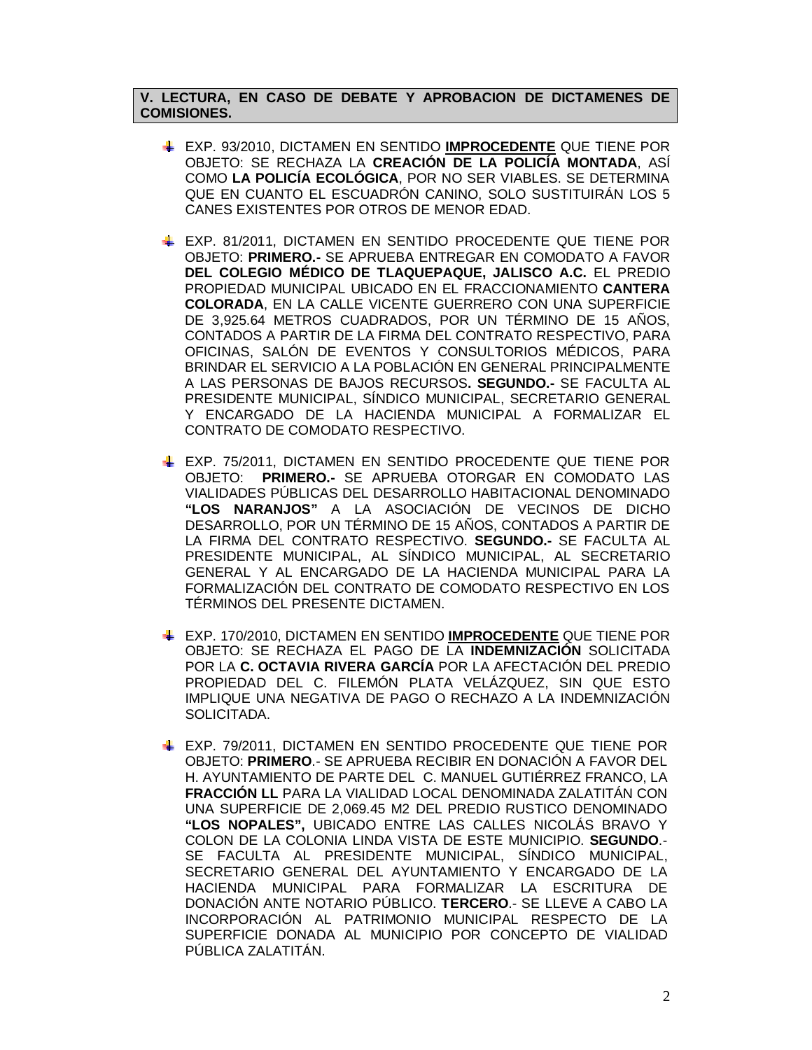# **V. LECTURA, EN CASO DE DEBATE Y APROBACION DE DICTAMENES DE COMISIONES.**

- EXP. 93/2010, DICTAMEN EN SENTIDO **IMPROCEDENTE** QUE TIENE POR OBJETO: SE RECHAZA LA **CREACIÓN DE LA POLICÍA MONTADA**, ASÍ COMO **LA POLICÍA ECOLÓGICA**, POR NO SER VIABLES. SE DETERMINA QUE EN CUANTO EL ESCUADRÓN CANINO, SOLO SUSTITUIRÁN LOS 5 CANES EXISTENTES POR OTROS DE MENOR EDAD.
- EXP. 81/2011, DICTAMEN EN SENTIDO PROCEDENTE QUE TIENE POR OBJETO: **PRIMERO.-** SE APRUEBA ENTREGAR EN COMODATO A FAVOR **DEL COLEGIO MÉDICO DE TLAQUEPAQUE, JALISCO A.C.** EL PREDIO PROPIEDAD MUNICIPAL UBICADO EN EL FRACCIONAMIENTO **CANTERA COLORADA**, EN LA CALLE VICENTE GUERRERO CON UNA SUPERFICIE DE 3,925.64 METROS CUADRADOS, POR UN TÉRMINO DE 15 AÑOS, CONTADOS A PARTIR DE LA FIRMA DEL CONTRATO RESPECTIVO, PARA OFICINAS, SALÓN DE EVENTOS Y CONSULTORIOS MÉDICOS, PARA BRINDAR EL SERVICIO A LA POBLACIÓN EN GENERAL PRINCIPALMENTE A LAS PERSONAS DE BAJOS RECURSOS**. SEGUNDO.-** SE FACULTA AL PRESIDENTE MUNICIPAL, SÍNDICO MUNICIPAL, SECRETARIO GENERAL Y ENCARGADO DE LA HACIENDA MUNICIPAL A FORMALIZAR EL CONTRATO DE COMODATO RESPECTIVO.
- EXP. 75/2011, DICTAMEN EN SENTIDO PROCEDENTE QUE TIENE POR OBJETO: **PRIMERO.-** SE APRUEBA OTORGAR EN COMODATO LAS VIALIDADES PÚBLICAS DEL DESARROLLO HABITACIONAL DENOMINADO **"LOS NARANJOS"** A LA ASOCIACIÓN DE VECINOS DE DICHO DESARROLLO, POR UN TÉRMINO DE 15 AÑOS, CONTADOS A PARTIR DE LA FIRMA DEL CONTRATO RESPECTIVO. **SEGUNDO.-** SE FACULTA AL PRESIDENTE MUNICIPAL, AL SÍNDICO MUNICIPAL, AL SECRETARIO GENERAL Y AL ENCARGADO DE LA HACIENDA MUNICIPAL PARA LA FORMALIZACIÓN DEL CONTRATO DE COMODATO RESPECTIVO EN LOS TÉRMINOS DEL PRESENTE DICTAMEN.
- EXP. 170/2010, DICTAMEN EN SENTIDO **IMPROCEDENTE** QUE TIENE POR OBJETO: SE RECHAZA EL PAGO DE LA **INDEMNIZACIÓN** SOLICITADA POR LA **C. OCTAVIA RIVERA GARCÍA** POR LA AFECTACIÓN DEL PREDIO PROPIEDAD DEL C. FILEMÓN PLATA VELÁZQUEZ, SIN QUE ESTO IMPLIQUE UNA NEGATIVA DE PAGO O RECHAZO A LA INDEMNIZACIÓN SOLICITADA.
- EXP. 79/2011, DICTAMEN EN SENTIDO PROCEDENTE QUE TIENE POR OBJETO: **PRIMERO**.- SE APRUEBA RECIBIR EN DONACIÓN A FAVOR DEL H. AYUNTAMIENTO DE PARTE DEL C. MANUEL GUTIÉRREZ FRANCO, LA **FRACCIÓN LL** PARA LA VIALIDAD LOCAL DENOMINADA ZALATITÁN CON UNA SUPERFICIE DE 2,069.45 M2 DEL PREDIO RUSTICO DENOMINADO **"LOS NOPALES",** UBICADO ENTRE LAS CALLES NICOLÁS BRAVO Y COLON DE LA COLONIA LINDA VISTA DE ESTE MUNICIPIO. **SEGUNDO**.- SE FACULTA AL PRESIDENTE MUNICIPAL, SÍNDICO MUNICIPAL, SECRETARIO GENERAL DEL AYUNTAMIENTO Y ENCARGADO DE LA HACIENDA MUNICIPAL PARA FORMALIZAR LA ESCRITURA DE DONACIÓN ANTE NOTARIO PÚBLICO. **TERCERO**.- SE LLEVE A CABO LA INCORPORACIÓN AL PATRIMONIO MUNICIPAL RESPECTO DE LA SUPERFICIE DONADA AL MUNICIPIO POR CONCEPTO DE VIALIDAD PÚBLICA ZALATITÁN.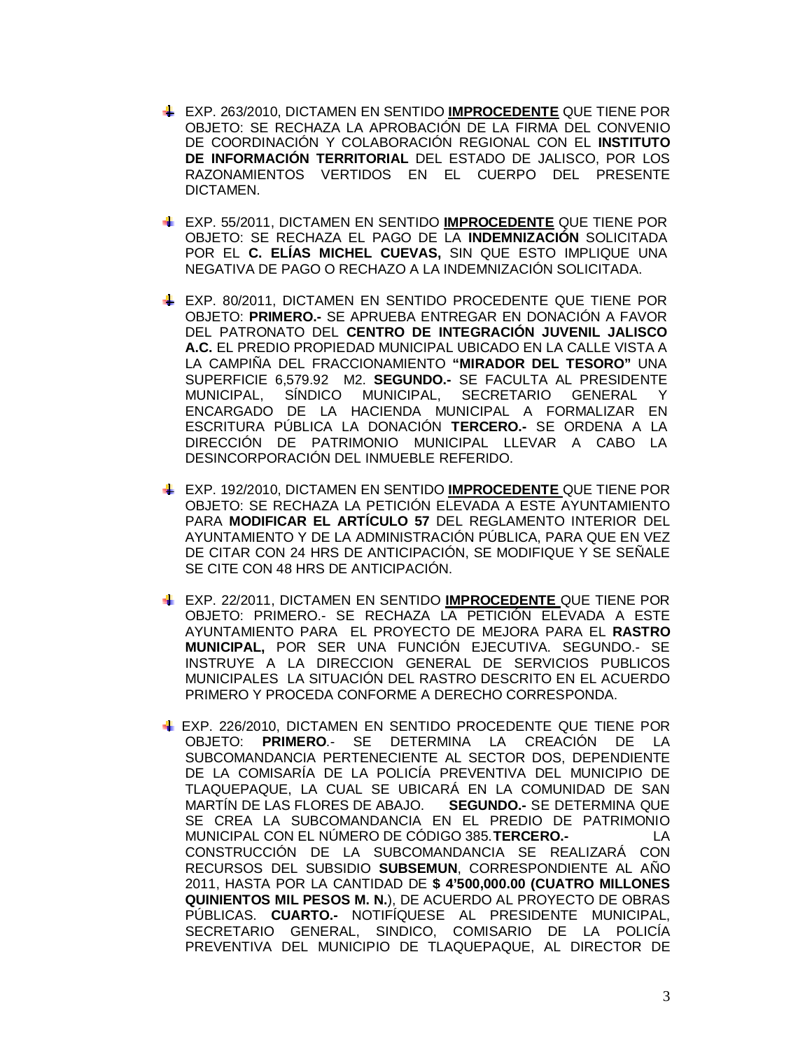- EXP. 263/2010, DICTAMEN EN SENTIDO **IMPROCEDENTE** QUE TIENE POR OBJETO: SE RECHAZA LA APROBACIÓN DE LA FIRMA DEL CONVENIO DE COORDINACIÓN Y COLABORACIÓN REGIONAL CON EL **INSTITUTO DE INFORMACIÓN TERRITORIAL** DEL ESTADO DE JALISCO, POR LOS RAZONAMIENTOS VERTIDOS EN EL CUERPO DEL PRESENTE DICTAMEN.
- EXP. 55/2011, DICTAMEN EN SENTIDO **IMPROCEDENTE** QUE TIENE POR OBJETO: SE RECHAZA EL PAGO DE LA **INDEMNIZACIÓN** SOLICITADA POR EL **C. ELÍAS MICHEL CUEVAS,** SIN QUE ESTO IMPLIQUE UNA NEGATIVA DE PAGO O RECHAZO A LA INDEMNIZACIÓN SOLICITADA.
- EXP. 80/2011, DICTAMEN EN SENTIDO PROCEDENTE QUE TIENE POR OBJETO: **PRIMERO.-** SE APRUEBA ENTREGAR EN DONACIÓN A FAVOR DEL PATRONATO DEL **CENTRO DE INTEGRACIÓN JUVENIL JALISCO A.C.** EL PREDIO PROPIEDAD MUNICIPAL UBICADO EN LA CALLE VISTA A LA CAMPIÑA DEL FRACCIONAMIENTO **"MIRADOR DEL TESORO"** UNA SUPERFICIE 6,579.92 M2. **SEGUNDO.-** SE FACULTA AL PRESIDENTE MUNICIPAL, SÍNDICO MUNICIPAL, SECRETARIO GENERAL Y ENCARGADO DE LA HACIENDA MUNICIPAL A FORMALIZAR EN ESCRITURA PÚBLICA LA DONACIÓN **TERCERO.-** SE ORDENA A LA DIRECCIÓN DE PATRIMONIO MUNICIPAL LLEVAR A CABO LA DESINCORPORACIÓN DEL INMUEBLE REFERIDO.
- EXP. 192/2010, DICTAMEN EN SENTIDO **IMPROCEDENTE** QUE TIENE POR OBJETO: SE RECHAZA LA PETICIÓN ELEVADA A ESTE AYUNTAMIENTO PARA **MODIFICAR EL ARTÍCULO 57** DEL REGLAMENTO INTERIOR DEL AYUNTAMIENTO Y DE LA ADMINISTRACIÓN PÚBLICA, PARA QUE EN VEZ DE CITAR CON 24 HRS DE ANTICIPACIÓN, SE MODIFIQUE Y SE SEÑALE SE CITE CON 48 HRS DE ANTICIPACIÓN.
- EXP. 22/2011, DICTAMEN EN SENTIDO **IMPROCEDENTE** QUE TIENE POR OBJETO: PRIMERO.- SE RECHAZA LA PETICIÓN ELEVADA A ESTE AYUNTAMIENTO PARA EL PROYECTO DE MEJORA PARA EL **RASTRO MUNICIPAL,** POR SER UNA FUNCIÓN EJECUTIVA. SEGUNDO.- SE INSTRUYE A LA DIRECCION GENERAL DE SERVICIOS PUBLICOS MUNICIPALES LA SITUACIÓN DEL RASTRO DESCRITO EN EL ACUERDO PRIMERO Y PROCEDA CONFORME A DERECHO CORRESPONDA.
- EXP. 226/2010, DICTAMEN EN SENTIDO PROCEDENTE QUE TIENE POR OBJETO: **PRIMERO**.- SE DETERMINA LA CREACIÓN DE LA SUBCOMANDANCIA PERTENECIENTE AL SECTOR DOS, DEPENDIENTE DE LA COMISARÍA DE LA POLICÍA PREVENTIVA DEL MUNICIPIO DE TLAQUEPAQUE, LA CUAL SE UBICARÁ EN LA COMUNIDAD DE SAN MARTÍN DE LAS FLORES DE ABAJO. **SEGUNDO.-** SE DETERMINA QUE SE CREA LA SUBCOMANDANCIA EN EL PREDIO DE PATRIMONIO MUNICIPAL CON EL NÚMERO DE CÓDIGO 385.**TERCERO.-** LA CONSTRUCCIÓN DE LA SUBCOMANDANCIA SE REALIZARÁ CON RECURSOS DEL SUBSIDIO **SUBSEMUN**, CORRESPONDIENTE AL AÑO 2011, HASTA POR LA CANTIDAD DE **\$ 4'500,000.00 (CUATRO MILLONES QUINIENTOS MIL PESOS M. N.**), DE ACUERDO AL PROYECTO DE OBRAS PÚBLICAS. **CUARTO.-** NOTIFÍQUESE AL PRESIDENTE MUNICIPAL, SECRETARIO GENERAL, SINDICO, COMISARIO DE LA POLICÍA PREVENTIVA DEL MUNICIPIO DE TLAQUEPAQUE, AL DIRECTOR DE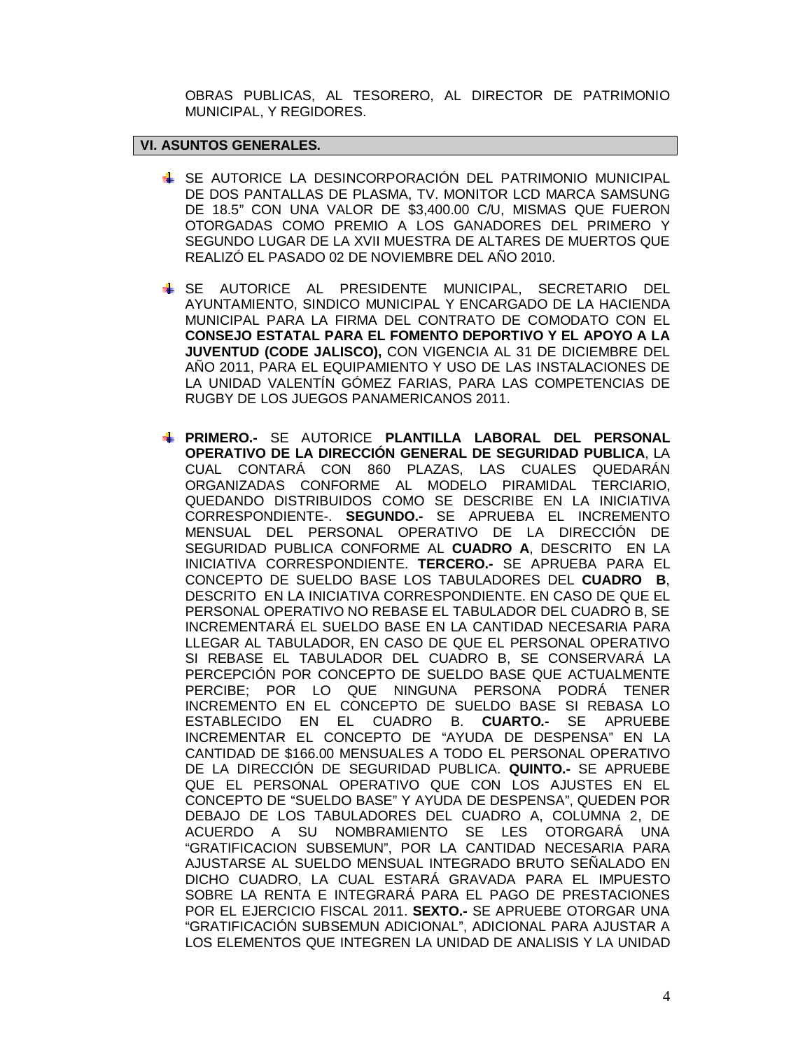OBRAS PUBLICAS, AL TESORERO, AL DIRECTOR DE PATRIMONIO MUNICIPAL, Y REGIDORES.

# **VI. ASUNTOS GENERALES.**

- SE AUTORICE LA DESINCORPORACIÓN DEL PATRIMONIO MUNICIPAL DE DOS PANTALLAS DE PLASMA, TV. MONITOR LCD MARCA SAMSUNG DE 18.5" CON UNA VALOR DE \$3,400.00 C/U, MISMAS QUE FUERON OTORGADAS COMO PREMIO A LOS GANADORES DEL PRIMERO Y SEGUNDO LUGAR DE LA XVII MUESTRA DE ALTARES DE MUERTOS QUE REALIZÓ EL PASADO 02 DE NOVIEMBRE DEL AÑO 2010.
- SE AUTORICE AL PRESIDENTE MUNICIPAL, SECRETARIO DEL AYUNTAMIENTO, SINDICO MUNICIPAL Y ENCARGADO DE LA HACIENDA MUNICIPAL PARA LA FIRMA DEL CONTRATO DE COMODATO CON EL **CONSEJO ESTATAL PARA EL FOMENTO DEPORTIVO Y EL APOYO A LA JUVENTUD (CODE JALISCO),** CON VIGENCIA AL 31 DE DICIEMBRE DEL AÑO 2011, PARA EL EQUIPAMIENTO Y USO DE LAS INSTALACIONES DE LA UNIDAD VALENTÍN GÓMEZ FARIAS, PARA LAS COMPETENCIAS DE RUGBY DE LOS JUEGOS PANAMERICANOS 2011.
- **PRIMERO.-** SE AUTORICE **PLANTILLA LABORAL DEL PERSONAL OPERATIVO DE LA DIRECCIÓN GENERAL DE SEGURIDAD PUBLICA**, LA CUAL CONTARÁ CON 860 PLAZAS, LAS CUALES QUEDARÁN ORGANIZADAS CONFORME AL MODELO PIRAMIDAL TERCIARIO, QUEDANDO DISTRIBUIDOS COMO SE DESCRIBE EN LA INICIATIVA CORRESPONDIENTE-. **SEGUNDO.-** SE APRUEBA EL INCREMENTO MENSUAL DEL PERSONAL OPERATIVO DE LA DIRECCIÓN DE SEGURIDAD PUBLICA CONFORME AL **CUADRO A**, DESCRITO EN LA INICIATIVA CORRESPONDIENTE. **TERCERO.-** SE APRUEBA PARA EL CONCEPTO DE SUELDO BASE LOS TABULADORES DEL **CUADRO B**, DESCRITO EN LA INICIATIVA CORRESPONDIENTE. EN CASO DE QUE EL PERSONAL OPERATIVO NO REBASE EL TABULADOR DEL CUADRO B, SE INCREMENTARÁ EL SUELDO BASE EN LA CANTIDAD NECESARIA PARA LLEGAR AL TABULADOR, EN CASO DE QUE EL PERSONAL OPERATIVO SI REBASE EL TABULADOR DEL CUADRO B, SE CONSERVARÁ LA PERCEPCIÓN POR CONCEPTO DE SUELDO BASE QUE ACTUALMENTE PERCIBE; POR LO QUE NINGUNA PERSONA PODRÁ TENER INCREMENTO EN EL CONCEPTO DE SUELDO BASE SI REBASA LO ESTABLECIDO EN EL CUADRO B. **CUARTO.-** SE APRUEBE INCREMENTAR EL CONCEPTO DE "AYUDA DE DESPENSA" EN LA CANTIDAD DE \$166.00 MENSUALES A TODO EL PERSONAL OPERATIVO DE LA DIRECCIÓN DE SEGURIDAD PUBLICA. **QUINTO.-** SE APRUEBE QUE EL PERSONAL OPERATIVO QUE CON LOS AJUSTES EN EL CONCEPTO DE "SUELDO BASE" Y AYUDA DE DESPENSA", QUEDEN POR DEBAJO DE LOS TABULADORES DEL CUADRO A, COLUMNA 2, DE ACUERDO A SU NOMBRAMIENTO SE LES OTORGARÁ UNA "GRATIFICACION SUBSEMUN", POR LA CANTIDAD NECESARIA PARA AJUSTARSE AL SUELDO MENSUAL INTEGRADO BRUTO SEÑALADO EN DICHO CUADRO, LA CUAL ESTARÁ GRAVADA PARA EL IMPUESTO SOBRE LA RENTA E INTEGRARÁ PARA EL PAGO DE PRESTACIONES POR EL EJERCICIO FISCAL 2011. **SEXTO.-** SE APRUEBE OTORGAR UNA "GRATIFICACIÓN SUBSEMUN ADICIONAL", ADICIONAL PARA AJUSTAR A LOS ELEMENTOS QUE INTEGREN LA UNIDAD DE ANALISIS Y LA UNIDAD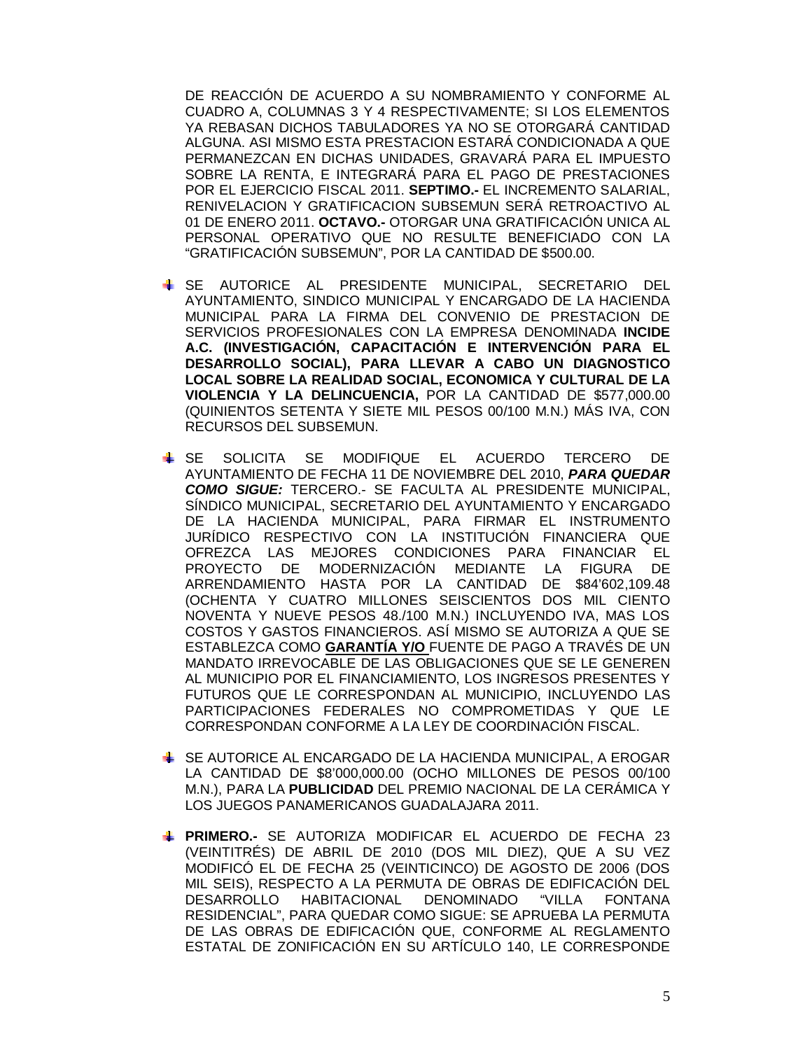DE REACCIÓN DE ACUERDO A SU NOMBRAMIENTO Y CONFORME AL CUADRO A, COLUMNAS 3 Y 4 RESPECTIVAMENTE; SI LOS ELEMENTOS YA REBASAN DICHOS TABULADORES YA NO SE OTORGARÁ CANTIDAD ALGUNA. ASI MISMO ESTA PRESTACION ESTARÁ CONDICIONADA A QUE PERMANEZCAN EN DICHAS UNIDADES, GRAVARÁ PARA EL IMPUESTO SOBRE LA RENTA, E INTEGRARÁ PARA EL PAGO DE PRESTACIONES POR EL EJERCICIO FISCAL 2011. **SEPTIMO.-** EL INCREMENTO SALARIAL, RENIVELACION Y GRATIFICACION SUBSEMUN SERÁ RETROACTIVO AL 01 DE ENERO 2011. **OCTAVO.-** OTORGAR UNA GRATIFICACIÓN UNICA AL PERSONAL OPERATIVO QUE NO RESULTE BENEFICIADO CON LA "GRATIFICACIÓN SUBSEMUN", POR LA CANTIDAD DE \$500.00.

- SE AUTORICE AL PRESIDENTE MUNICIPAL, SECRETARIO DEL AYUNTAMIENTO, SINDICO MUNICIPAL Y ENCARGADO DE LA HACIENDA MUNICIPAL PARA LA FIRMA DEL CONVENIO DE PRESTACION DE SERVICIOS PROFESIONALES CON LA EMPRESA DENOMINADA **INCIDE A.C. (INVESTIGACIÓN, CAPACITACIÓN E INTERVENCIÓN PARA EL DESARROLLO SOCIAL), PARA LLEVAR A CABO UN DIAGNOSTICO LOCAL SOBRE LA REALIDAD SOCIAL, ECONOMICA Y CULTURAL DE LA VIOLENCIA Y LA DELINCUENCIA,** POR LA CANTIDAD DE \$577,000.00 (QUINIENTOS SETENTA Y SIETE MIL PESOS 00/100 M.N.) MÁS IVA, CON RECURSOS DEL SUBSEMUN.
- SE SOLICITA SE MODIFIQUE EL ACUERDO TERCERO DE AYUNTAMIENTO DE FECHA 11 DE NOVIEMBRE DEL 2010, *PARA QUEDAR COMO SIGUE:* TERCERO.- SE FACULTA AL PRESIDENTE MUNICIPAL, SÍNDICO MUNICIPAL, SECRETARIO DEL AYUNTAMIENTO Y ENCARGADO DE LA HACIENDA MUNICIPAL, PARA FIRMAR EL INSTRUMENTO JURÍDICO RESPECTIVO CON LA INSTITUCIÓN FINANCIERA QUE OFREZCA LAS MEJORES CONDICIONES PARA FINANCIAR EL PROYECTO DE MODERNIZACIÓN MEDIANTE LA FIGURA DE ARRENDAMIENTO HASTA POR LA CANTIDAD DE \$84'602,109.48 (OCHENTA Y CUATRO MILLONES SEISCIENTOS DOS MIL CIENTO NOVENTA Y NUEVE PESOS 48./100 M.N.) INCLUYENDO IVA, MAS LOS COSTOS Y GASTOS FINANCIEROS. ASÍ MISMO SE AUTORIZA A QUE SE ESTABLEZCA COMO **GARANTÍA Y/O** FUENTE DE PAGO A TRAVÉS DE UN MANDATO IRREVOCABLE DE LAS OBLIGACIONES QUE SE LE GENEREN AL MUNICIPIO POR EL FINANCIAMIENTO, LOS INGRESOS PRESENTES Y FUTUROS QUE LE CORRESPONDAN AL MUNICIPIO, INCLUYENDO LAS PARTICIPACIONES FEDERALES NO COMPROMETIDAS Y QUE LE CORRESPONDAN CONFORME A LA LEY DE COORDINACIÓN FISCAL.
- SE AUTORICE AL ENCARGADO DE LA HACIENDA MUNICIPAL, A EROGAR LA CANTIDAD DE \$8'000,000.00 (OCHO MILLONES DE PESOS 00/100 M.N.), PARA LA **PUBLICIDAD** DEL PREMIO NACIONAL DE LA CERÁMICA Y LOS JUEGOS PANAMERICANOS GUADALAJARA 2011.
- **PRIMERO.-** SE AUTORIZA MODIFICAR EL ACUERDO DE FECHA 23 (VEINTITRÉS) DE ABRIL DE 2010 (DOS MIL DIEZ), QUE A SU VEZ MODIFICÓ EL DE FECHA 25 (VEINTICINCO) DE AGOSTO DE 2006 (DOS MIL SEIS), RESPECTO A LA PERMUTA DE OBRAS DE EDIFICACIÓN DEL DESARROLLO HABITACIONAL DENOMINADO "VILLA FONTANA RESIDENCIAL", PARA QUEDAR COMO SIGUE: SE APRUEBA LA PERMUTA DE LAS OBRAS DE EDIFICACIÓN QUE, CONFORME AL REGLAMENTO ESTATAL DE ZONIFICACIÓN EN SU ARTÍCULO 140, LE CORRESPONDE